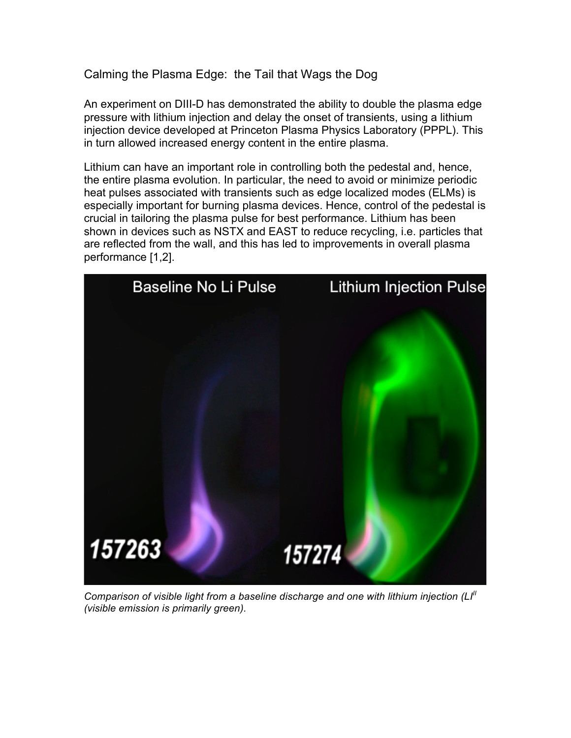Calming the Plasma Edge: the Tail that Wags the Dog

An experiment on DIII-D has demonstrated the ability to double the plasma edge pressure with lithium injection and delay the onset of transients, using a lithium injection device developed at Princeton Plasma Physics Laboratory (PPPL). This in turn allowed increased energy content in the entire plasma.

Lithium can have an important role in controlling both the pedestal and, hence, the entire plasma evolution. In particular, the need to avoid or minimize periodic heat pulses associated with transients such as edge localized modes (ELMs) is especially important for burning plasma devices. Hence, control of the pedestal is crucial in tailoring the plasma pulse for best performance. Lithium has been shown in devices such as NSTX and EAST to reduce recycling, i.e. particles that are reflected from the wall, and this has led to improvements in overall plasma performance [1,2].



*Comparison of visible light from a baseline discharge and one with lithium injection (LI<sup>II</sup> (visible emission is primarily green).*